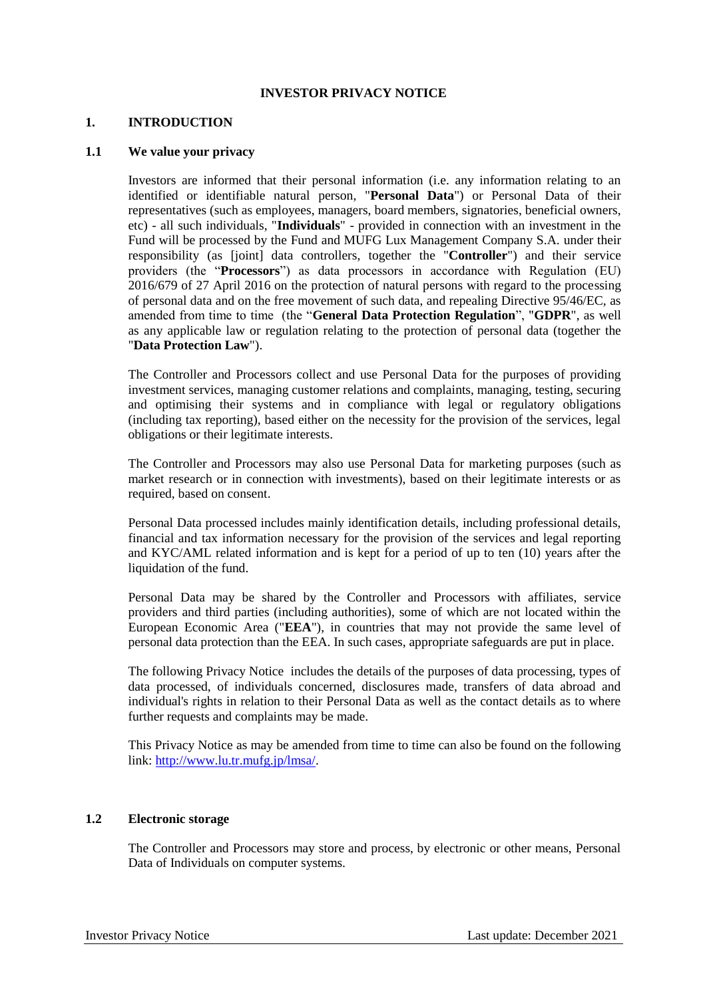## **INVESTOR PRIVACY NOTICE**

#### **1. INTRODUCTION**

#### **1.1 We value your privacy**

Investors are informed that their personal information (i.e. any information relating to an identified or identifiable natural person, "**Personal Data**") or Personal Data of their representatives (such as employees, managers, board members, signatories, beneficial owners, etc) - all such individuals, "**Individuals**" - provided in connection with an investment in the Fund will be processed by the Fund and MUFG Lux Management Company S.A. under their responsibility (as [joint] data controllers, together the "**Controller**") and their service providers (the "**Processors**") as data processors in accordance with Regulation (EU) 2016/679 of 27 April 2016 on the protection of natural persons with regard to the processing of personal data and on the free movement of such data, and repealing Directive 95/46/EC, as amended from time to time (the "**General Data Protection Regulation**", "**GDPR**", as well as any applicable law or regulation relating to the protection of personal data (together the "**Data Protection Law**").

The Controller and Processors collect and use Personal Data for the purposes of providing investment services, managing customer relations and complaints, managing, testing, securing and optimising their systems and in compliance with legal or regulatory obligations (including tax reporting), based either on the necessity for the provision of the services, legal obligations or their legitimate interests.

The Controller and Processors may also use Personal Data for marketing purposes (such as market research or in connection with investments), based on their legitimate interests or as required, based on consent.

Personal Data processed includes mainly identification details, including professional details, financial and tax information necessary for the provision of the services and legal reporting and KYC/AML related information and is kept for a period of up to ten (10) years after the liquidation of the fund.

Personal Data may be shared by the Controller and Processors with affiliates, service providers and third parties (including authorities), some of which are not located within the European Economic Area ("**EEA**"), in countries that may not provide the same level of personal data protection than the EEA. In such cases, appropriate safeguards are put in place.

The following Privacy Notice includes the details of the purposes of data processing, types of data processed, of individuals concerned, disclosures made, transfers of data abroad and individual's rights in relation to their Personal Data as well as the contact details as to where further requests and complaints may be made.

This Privacy Notice as may be amended from time to time can also be found on the following link: [http://www.lu.tr.mufg.jp/lmsa/.](http://www.lu.tr.mufg.jp/lmsa/)

#### **1.2 Electronic storage**

The Controller and Processors may store and process, by electronic or other means, Personal Data of Individuals on computer systems.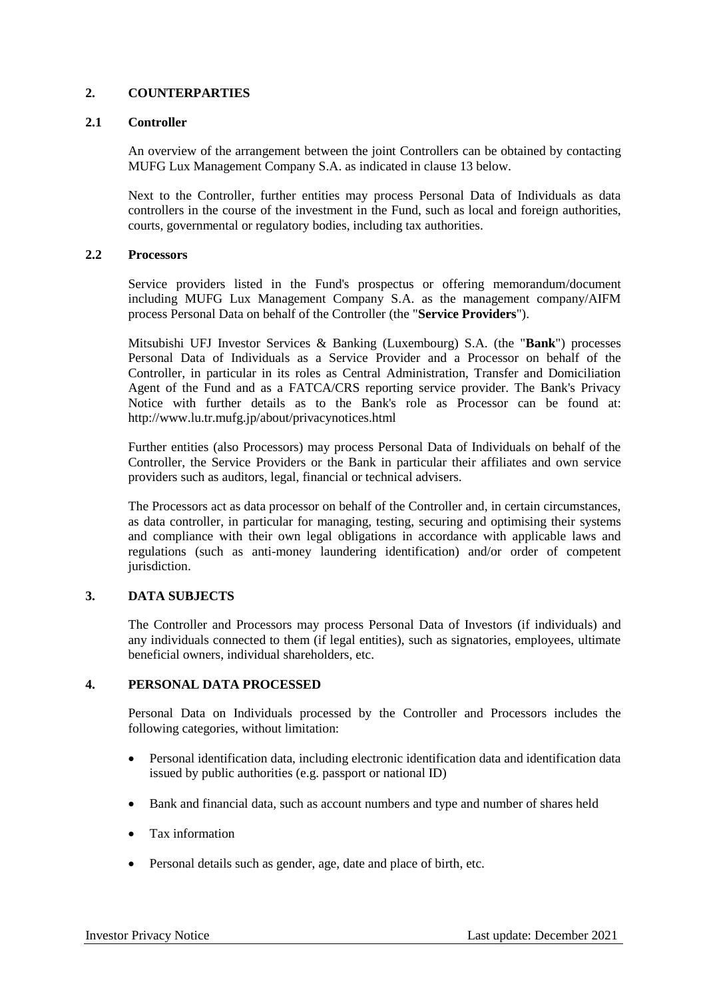# **2. COUNTERPARTIES**

### **2.1 Controller**

An overview of the arrangement between the joint Controllers can be obtained by contacting MUFG Lux Management Company S.A. as indicated in clause 13 below.

Next to the Controller, further entities may process Personal Data of Individuals as data controllers in the course of the investment in the Fund, such as local and foreign authorities, courts, governmental or regulatory bodies, including tax authorities.

#### **2.2 Processors**

Service providers listed in the Fund's prospectus or offering memorandum/document including MUFG Lux Management Company S.A. as the management company/AIFM process Personal Data on behalf of the Controller (the "**Service Providers**").

Mitsubishi UFJ Investor Services & Banking (Luxembourg) S.A. (the "**Bank**") processes Personal Data of Individuals as a Service Provider and a Processor on behalf of the Controller, in particular in its roles as Central Administration, Transfer and Domiciliation Agent of the Fund and as a FATCA/CRS reporting service provider. The Bank's Privacy Notice with further details as to the Bank's role as Processor can be found at: http://www.lu.tr.mufg.jp/about/privacynotices.html

Further entities (also Processors) may process Personal Data of Individuals on behalf of the Controller, the Service Providers or the Bank in particular their affiliates and own service providers such as auditors, legal, financial or technical advisers.

The Processors act as data processor on behalf of the Controller and, in certain circumstances, as data controller, in particular for managing, testing, securing and optimising their systems and compliance with their own legal obligations in accordance with applicable laws and regulations (such as anti-money laundering identification) and/or order of competent jurisdiction.

# **3. DATA SUBJECTS**

The Controller and Processors may process Personal Data of Investors (if individuals) and any individuals connected to them (if legal entities), such as signatories, employees, ultimate beneficial owners, individual shareholders, etc.

# **4. PERSONAL DATA PROCESSED**

Personal Data on Individuals processed by the Controller and Processors includes the following categories, without limitation:

- Personal identification data, including electronic identification data and identification data issued by public authorities (e.g. passport or national ID)
- Bank and financial data, such as account numbers and type and number of shares held
- Tax information
- Personal details such as gender, age, date and place of birth, etc.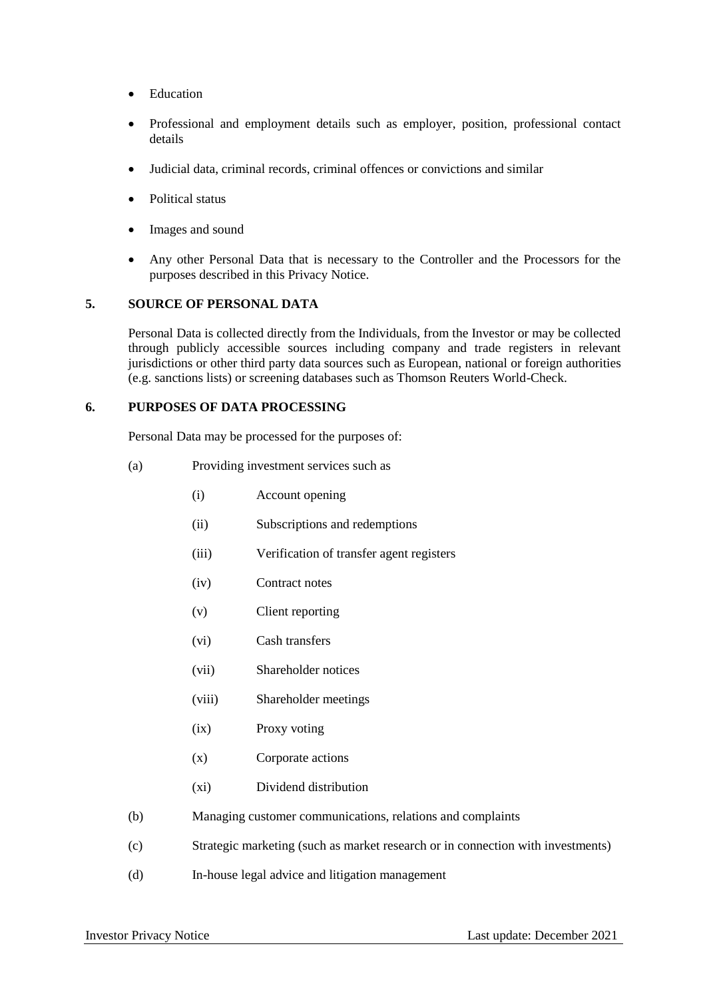- Education
- Professional and employment details such as employer, position, professional contact details
- Judicial data, criminal records, criminal offences or convictions and similar
- Political status
- Images and sound
- Any other Personal Data that is necessary to the Controller and the Processors for the purposes described in this Privacy Notice.

#### **5. SOURCE OF PERSONAL DATA**

Personal Data is collected directly from the Individuals, from the Investor or may be collected through publicly accessible sources including company and trade registers in relevant jurisdictions or other third party data sources such as European, national or foreign authorities (e.g. sanctions lists) or screening databases such as Thomson Reuters World-Check.

#### **6. PURPOSES OF DATA PROCESSING**

Personal Data may be processed for the purposes of:

- (a) Providing investment services such as
	- (i) Account opening
	- (ii) Subscriptions and redemptions
	- (iii) Verification of transfer agent registers
	- (iv) Contract notes
	- (v) Client reporting
	- (vi) Cash transfers
	- (vii) Shareholder notices
	- (viii) Shareholder meetings
	- (ix) Proxy voting
	- (x) Corporate actions
	- (xi) Dividend distribution
- (b) Managing customer communications, relations and complaints
- (c) Strategic marketing (such as market research or in connection with investments)
- (d) In-house legal advice and litigation management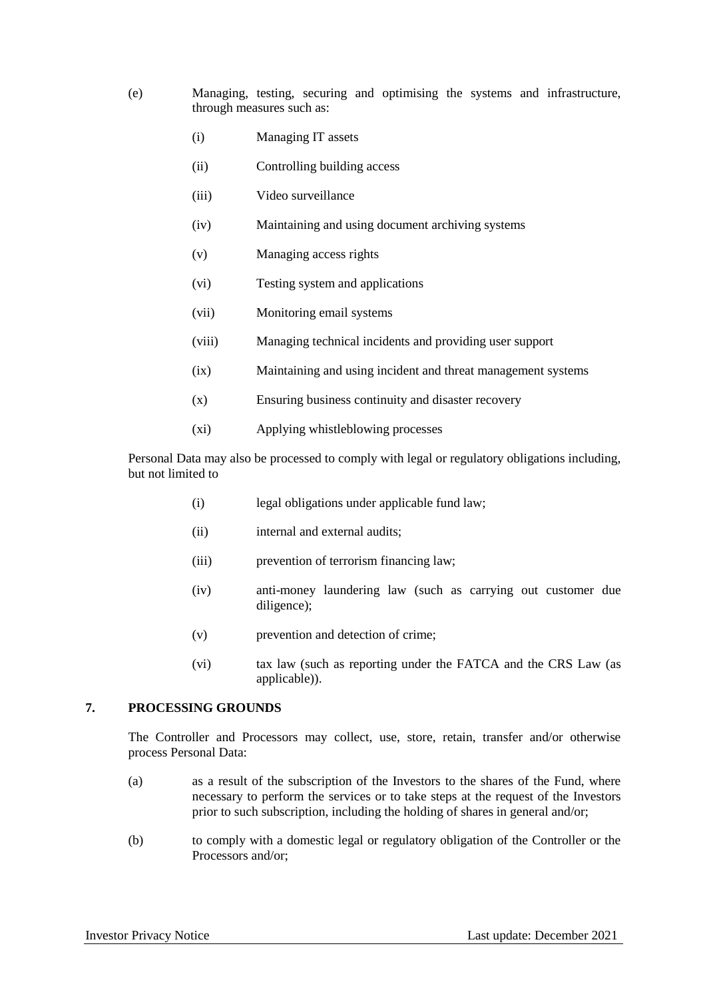- (e) Managing, testing, securing and optimising the systems and infrastructure, through measures such as:
	- (i) Managing IT assets
	- (ii) Controlling building access
	- (iii) Video surveillance
	- (iv) Maintaining and using document archiving systems
	- (v) Managing access rights
	- (vi) Testing system and applications
	- (vii) Monitoring email systems
	- (viii) Managing technical incidents and providing user support
	- (ix) Maintaining and using incident and threat management systems
	- (x) Ensuring business continuity and disaster recovery
	- (xi) Applying whistleblowing processes

Personal Data may also be processed to comply with legal or regulatory obligations including, but not limited to

- (i) legal obligations under applicable fund law;
- (ii) internal and external audits;
- (iii) prevention of terrorism financing law;
- (iv) anti-money laundering law (such as carrying out customer due diligence);
- (v) prevention and detection of crime;
- (vi) tax law (such as reporting under the FATCA and the CRS Law (as applicable)).

# **7. PROCESSING GROUNDS**

The Controller and Processors may collect, use, store, retain, transfer and/or otherwise process Personal Data:

- (a) as a result of the subscription of the Investors to the shares of the Fund, where necessary to perform the services or to take steps at the request of the Investors prior to such subscription, including the holding of shares in general and/or;
- (b) to comply with a domestic legal or regulatory obligation of the Controller or the Processors and/or;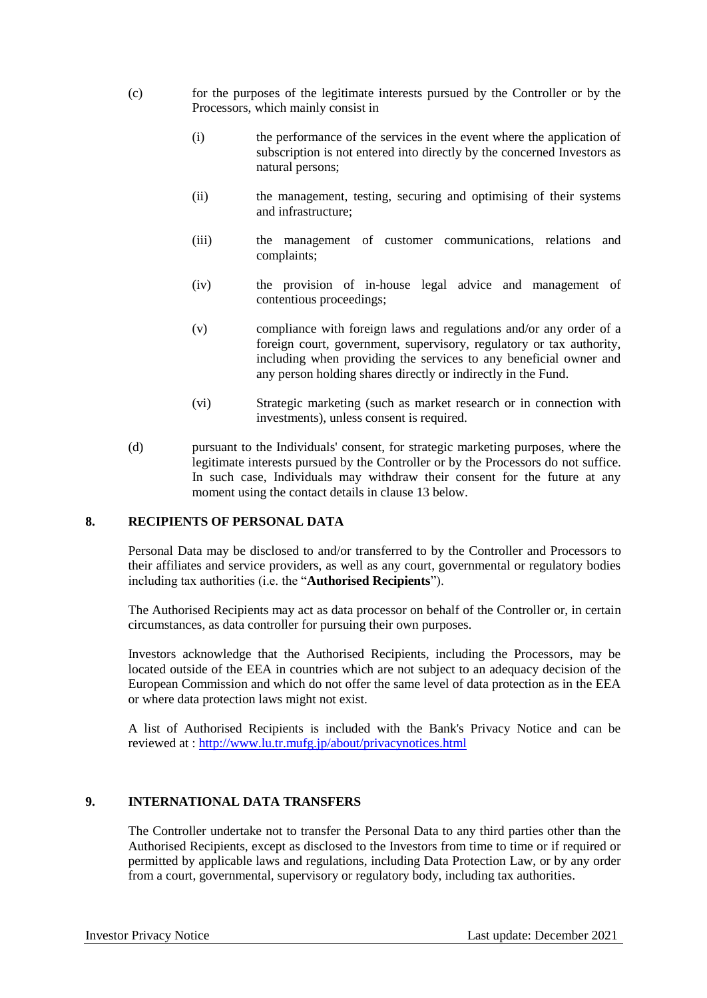- (c) for the purposes of the legitimate interests pursued by the Controller or by the Processors, which mainly consist in
	- (i) the performance of the services in the event where the application of subscription is not entered into directly by the concerned Investors as natural persons;
	- (ii) the management, testing, securing and optimising of their systems and infrastructure;
	- (iii) the management of customer communications, relations and complaints;
	- (iv) the provision of in-house legal advice and management of contentious proceedings;
	- (v) compliance with foreign laws and regulations and/or any order of a foreign court, government, supervisory, regulatory or tax authority, including when providing the services to any beneficial owner and any person holding shares directly or indirectly in the Fund.
	- (vi) Strategic marketing (such as market research or in connection with investments), unless consent is required.
- (d) pursuant to the Individuals' consent, for strategic marketing purposes, where the legitimate interests pursued by the Controller or by the Processors do not suffice. In such case, Individuals may withdraw their consent for the future at any moment using the contact details in clause 13 below.

## **8. RECIPIENTS OF PERSONAL DATA**

Personal Data may be disclosed to and/or transferred to by the Controller and Processors to their affiliates and service providers, as well as any court, governmental or regulatory bodies including tax authorities (i.e. the "**Authorised Recipients**").

The Authorised Recipients may act as data processor on behalf of the Controller or, in certain circumstances, as data controller for pursuing their own purposes.

Investors acknowledge that the Authorised Recipients, including the Processors, may be located outside of the EEA in countries which are not subject to an adequacy decision of the European Commission and which do not offer the same level of data protection as in the EEA or where data protection laws might not exist.

A list of Authorised Recipients is included with the Bank's Privacy Notice and can be reviewed at : <http://www.lu.tr.mufg.jp/about/privacynotices.html>

#### **9. INTERNATIONAL DATA TRANSFERS**

The Controller undertake not to transfer the Personal Data to any third parties other than the Authorised Recipients, except as disclosed to the Investors from time to time or if required or permitted by applicable laws and regulations, including Data Protection Law, or by any order from a court, governmental, supervisory or regulatory body, including tax authorities.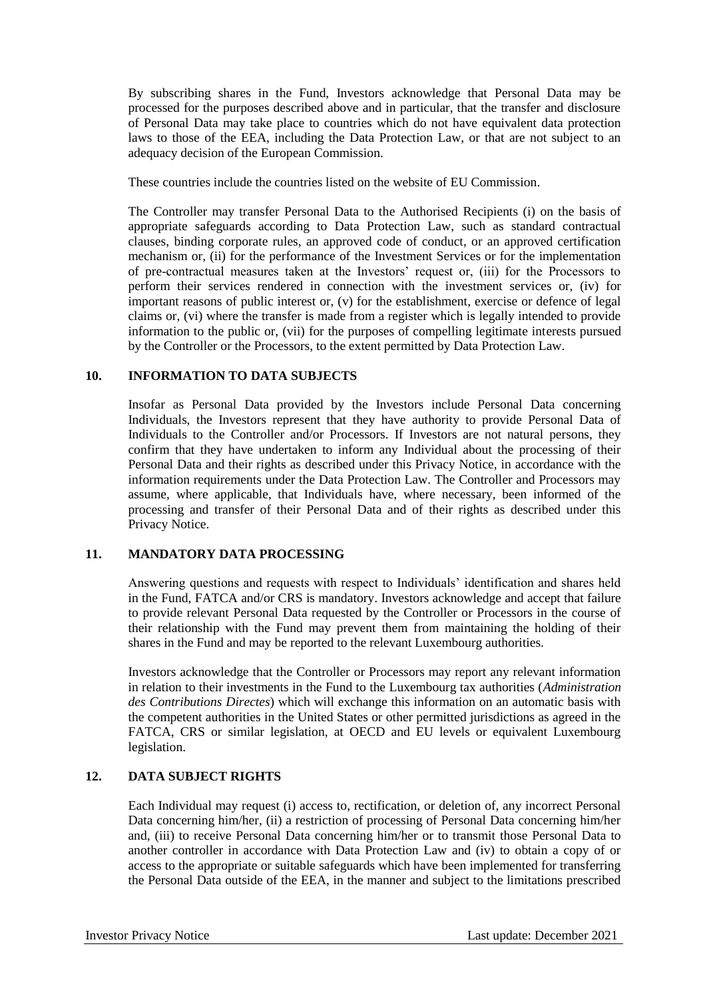By subscribing shares in the Fund, Investors acknowledge that Personal Data may be processed for the purposes described above and in particular, that the transfer and disclosure of Personal Data may take place to countries which do not have equivalent data protection laws to those of the EEA, including the Data Protection Law, or that are not subject to an adequacy decision of the European Commission.

These countries include the countries listed on the website of EU Commission.

The Controller may transfer Personal Data to the Authorised Recipients (i) on the basis of appropriate safeguards according to Data Protection Law, such as standard contractual clauses, binding corporate rules, an approved code of conduct, or an approved certification mechanism or, (ii) for the performance of the Investment Services or for the implementation of pre-contractual measures taken at the Investors' request or, (iii) for the Processors to perform their services rendered in connection with the investment services or, (iv) for important reasons of public interest or, (v) for the establishment, exercise or defence of legal claims or, (vi) where the transfer is made from a register which is legally intended to provide information to the public or, (vii) for the purposes of compelling legitimate interests pursued by the Controller or the Processors, to the extent permitted by Data Protection Law.

# **10. INFORMATION TO DATA SUBJECTS**

Insofar as Personal Data provided by the Investors include Personal Data concerning Individuals, the Investors represent that they have authority to provide Personal Data of Individuals to the Controller and/or Processors. If Investors are not natural persons, they confirm that they have undertaken to inform any Individual about the processing of their Personal Data and their rights as described under this Privacy Notice, in accordance with the information requirements under the Data Protection Law. The Controller and Processors may assume, where applicable, that Individuals have, where necessary, been informed of the processing and transfer of their Personal Data and of their rights as described under this Privacy Notice.

# **11. MANDATORY DATA PROCESSING**

Answering questions and requests with respect to Individuals' identification and shares held in the Fund, FATCA and/or CRS is mandatory. Investors acknowledge and accept that failure to provide relevant Personal Data requested by the Controller or Processors in the course of their relationship with the Fund may prevent them from maintaining the holding of their shares in the Fund and may be reported to the relevant Luxembourg authorities.

Investors acknowledge that the Controller or Processors may report any relevant information in relation to their investments in the Fund to the Luxembourg tax authorities (*Administration des Contributions Directes*) which will exchange this information on an automatic basis with the competent authorities in the United States or other permitted jurisdictions as agreed in the FATCA, CRS or similar legislation, at OECD and EU levels or equivalent Luxembourg legislation.

# **12. DATA SUBJECT RIGHTS**

Each Individual may request (i) access to, rectification, or deletion of, any incorrect Personal Data concerning him/her, (ii) a restriction of processing of Personal Data concerning him/her and, (iii) to receive Personal Data concerning him/her or to transmit those Personal Data to another controller in accordance with Data Protection Law and (iv) to obtain a copy of or access to the appropriate or suitable safeguards which have been implemented for transferring the Personal Data outside of the EEA, in the manner and subject to the limitations prescribed